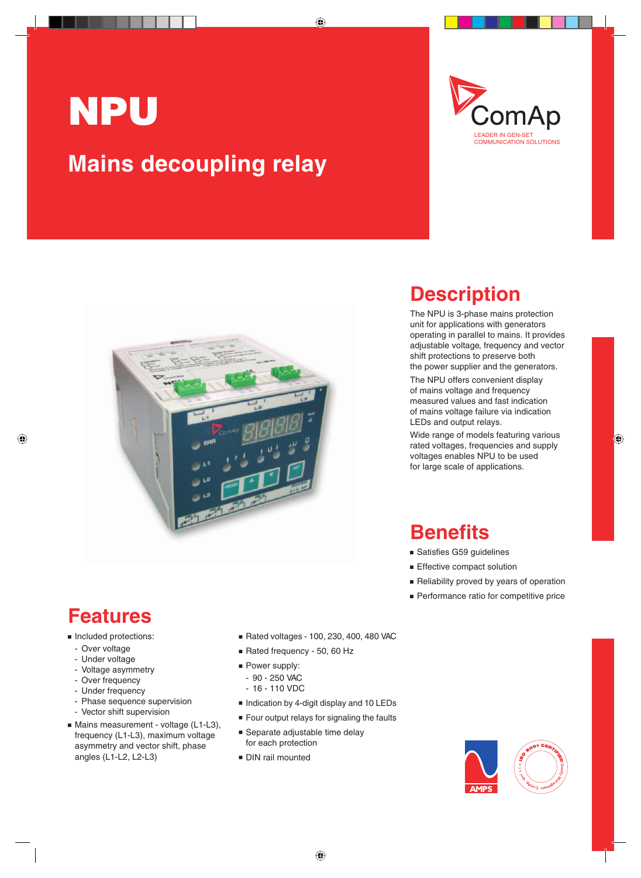# NPU **Mains decoupling relay**





### **Description**

The NPU is 3-phase mains protection unit for applications with generators operating in parallel to mains. It provides adjustable voltage, frequency and vector shift protections to preserve both the power supplier and the generators.

The NPU offers convenient display of mains voltage and frequency measured values and fast indication of mains voltage failure via indication LEDs and output relays.

Wide range of models featuring various rated voltages, frequencies and supply voltages enables NPU to be used for large scale of applications.

#### **Benefits**

- Satisfies G59 quidelines
- **Effective compact solution**
- Reliability proved by years of operation
- **Performance ratio for competitive price**

#### **Features**

#### **n** Included protections:

- Over voltage
- Under voltage
- Voltage asymmetry
- Over frequency
- Under frequency
- Phase sequence supervision
- Vector shift supervision
- Mains measurement voltage (L1-L3), frequency (L1-L3), maximum voltage asymmetry and vector shift, phase angles (L1-L2, L2-L3)
- <sup>n</sup> Rated voltages 100, 230, 400, 480 VAC
- Rated frequency 50, 60 Hz
- $\blacksquare$  Power supply:
	- 90 250 VAC
	- 16 110 VDC
- Indication by 4-digit display and 10 LEDs
- Four output relays for signaling the faults
- **B** Separate adjustable time delay for each protection
- DIN rail mounted